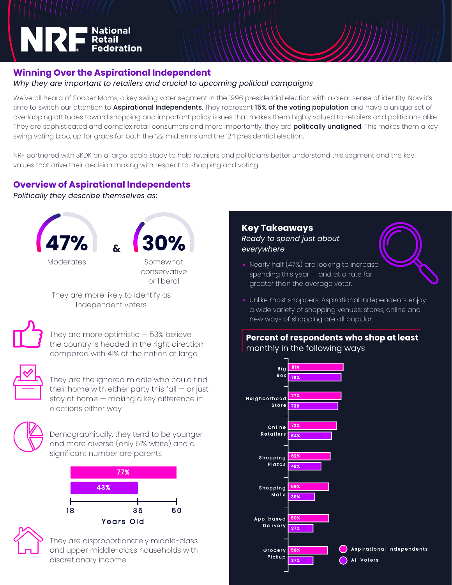

# **Winning Over the Aspirational Independent**

## *Why they are important to retailers and crucial to upcoming political campaigns*

We've all heard of Soccer Moms, a key swing voter segment in the 1996 presidential election with a clear sense of identity. Now it's time to switch our attention to **Aspirational Independents**. They represent 15% of the voting population and have a unique set of overlapping attitudes toward shopping and important policy issues that makes them highly valued to retailers and politicians alike. They are sophisticated and complex retail consumers and more importantly, they are **politically unaligned**. This makes them a key swing voting bloc, up for grabs for both the '22 midterms and the '24 presidential election.

NRF partnered with SKDK on a large-scale study to help retailers and politicians better understand this segment and the key values that drive their decision making with respect to shopping and voting.

# **Overview of Aspirational Independents**

*Politically they describe themselves as:*



They are more likely to identify as Independent voters



They are more optimistic  $-53%$  believe the country is headed in the right direction compared with 41% of the nation at large



They are the ignored middle who could find their home with either party this fall  $-$  or just stay at home — making a key difference in elections either way



Demographically, they tend to be younger and more diverse (only 51% white) and a significant number are parents



They are disproportionately middle-class and upper middle-class households with discretionary income

#### **Key Takeaways** *Ready to spend just about everywhere*

- Nearly half (47%) are looking to increase spending this year  $-$  and at a rate far greater than the average voter.
- Unlike most shoppers, Aspirational Independents enjoy a wide variety of shopping venues: stores, online and new ways of shopping are all popular.

Percent of respondents who shop at least monthly in the following ways

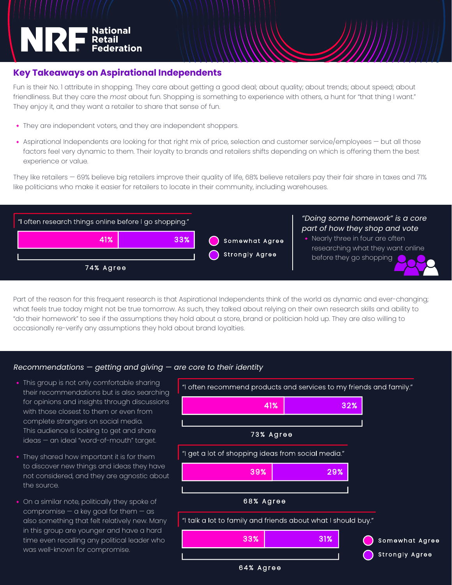# NRE Retail Federation

### **Key Takeaways on Aspirational Independents**

Fun is their No. 1 attribute in shopping. They care about getting a good deal; about quality; about trends; about speed; about friendliness. But they care the *most* about fun. Shopping is something to experience with others, a hunt for "that thing I want." They enjoy it, and they want a retailer to share that sense of fun.

- They are independent voters, and they are independent shoppers.
- Aspirational Independents are looking for that right mix of price, selection and customer service/employees but all those factors feel very dynamic to them. Their loyalty to brands and retailers shifts depending on which is offering them the best experience or value.

They like retailers — 69% believe big retailers improve their quality of life, 68% believe retailers pay their fair share in taxes and 71% like politicians who make it easier for retailers to locate in their community, including warehouses.



Part of the reason for this frequent research is that Aspirational Independents think of the world as dynamic and ever-changing; what feels true today might not be true tomorrow. As such, they talked about relying on their own research skills and ability to "do their homework" to see if the assumptions they hold about a store, brand or politician hold up. They are also willing to occasionally re-verify any assumptions they hold about brand loyalties.

#### *Recommendations — getting and giving — are core to their identity*

- This group is not only comfortable sharing their recommendations but is also searching for opinions and insights through discussions with those closest to them or even from complete strangers on social media. This audience is looking to get and share ideas — an ideal "word-of-mouth" target.
- They shared how important it is for them to discover new things and ideas they have not considered, and they are agnostic about the source.
- On a similar note, politically they spoke of compromise  $-$  a key goal for them  $-$  as also something that felt relatively new. Many in this group are younger and have a hard time even recalling any political leader who was well-known for compromise.

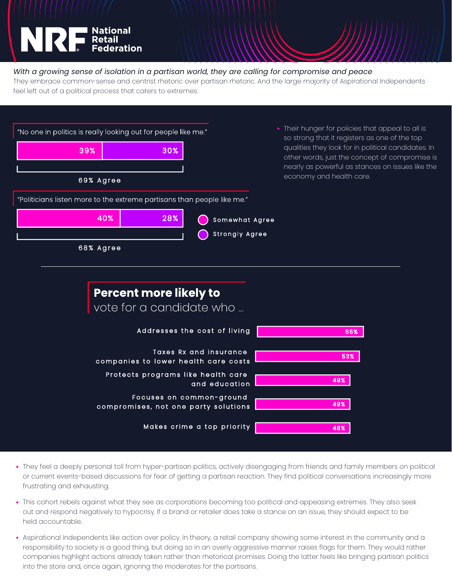

#### *With a growing sense of isolation in a partisan world, they are calling for compromise and peace*

They embrace common-sense and centrist rhetoric over partisan rhetoric. And the large majority of Aspirational Independents feel left out of a political process that caters to extremes.



- They feel a deeply personal toll from hyper-partisan politics, actively disengaging from friends and family members on political or current events-based discussions for fear of getting a partisan reaction. They find political conversations increasingly more frustrating and exhausting.
- This cohort rebels against what they see as corporations becoming too political and appeasing extremes. They also seek out and respond negatively to hypocrisy. If a brand or retailer does take a stance on an issue, they should expect to be held accountable..
- Aspirational Independents like action over policy. In theory, a retail company showing some interest in the community and a responsibility to society is a good thing, but doing so in an overly aggressive manner raises flags for them. They would rather companies highlight actions already taken rather than rhetorical promises. Doing the latter feels like bringing partisan politics into the store and, once again, ignoring the moderates for the partisans.